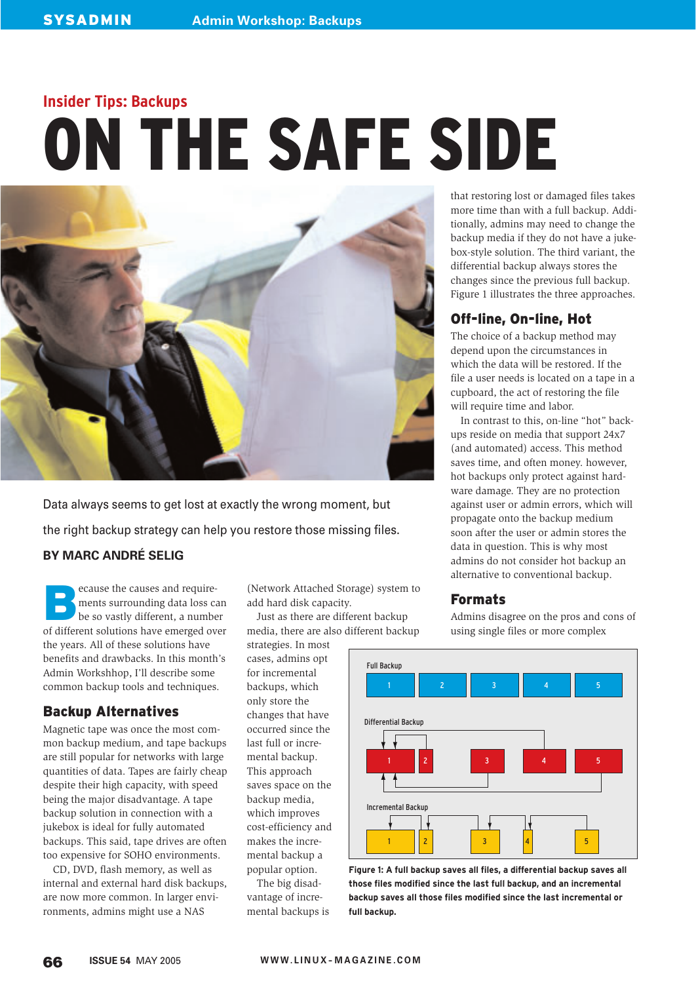# **Insider Tips: Backups** ON THE SAFE SIDE



Data always seems to get lost at exactly the wrong moment, but the right backup strategy can help you restore those missing files.

## **BY MARC ANDRÉ SELIG**

**BECAUSE SERVING SERVING SERVIS SERVIS SERVIS SERVIS SERVIS SERVIS SERVIS SERVIS SERVIS SERVIS SERVIS SERVIS SERVIS SERVIS SERVIS SERVIS SERVIS SERVIS SERVIS SERVIS SERVIS SERVIS SERVIS SERVIS SERVIS SERVIS SERVIS SERVIS S** ments surrounding data loss can of different solutions have emerged over the years. All of these solutions have benefits and drawbacks. In this month's Admin Workshhop, I'll describe some common backup tools and techniques.

#### Backup Alternatives

Magnetic tape was once the most common backup medium, and tape backups are still popular for networks with large quantities of data. Tapes are fairly cheap despite their high capacity, with speed being the major disadvantage. A tape backup solution in connection with a jukebox is ideal for fully automated backups. This said, tape drives are often too expensive for SOHO environments.

CD, DVD, flash memory, as well as internal and external hard disk backups, are now more common. In larger environments, admins might use a NAS

(Network Attached Storage) system to add hard disk capacity.

Just as there are different backup media, there are also different backup

strategies. In most cases, admins opt for incremental backups, which only store the changes that have occurred since the last full or incremental backup. This approach saves space on the backup media, which improves cost-efficiency and makes the incremental backup a popular option.

The big disadvantage of incremental backups is

that restoring lost or damaged files takes more time than with a full backup. Additionally, admins may need to change the backup media if they do not have a jukebox-style solution. The third variant, the differential backup always stores the changes since the previous full backup. Figure 1 illustrates the three approaches.

## Off-line, On-line, Hot

The choice of a backup method may depend upon the circumstances in which the data will be restored. If the file a user needs is located on a tape in a cupboard, the act of restoring the file will require time and labor.

In contrast to this, on-line "hot" backups reside on media that support 24x7 (and automated) access. This method saves time, and often money. however, hot backups only protect against hardware damage. They are no protection against user or admin errors, which will propagate onto the backup medium soon after the user or admin stores the data in question. This is why most admins do not consider hot backup an alternative to conventional backup.

## Formats

Admins disagree on the pros and cons of using single files or more complex



**Figure 1: A full backup saves all files, a differential backup saves all those files modified since the last full backup, and an incremental backup saves all those files modified since the last incremental or full backup.**